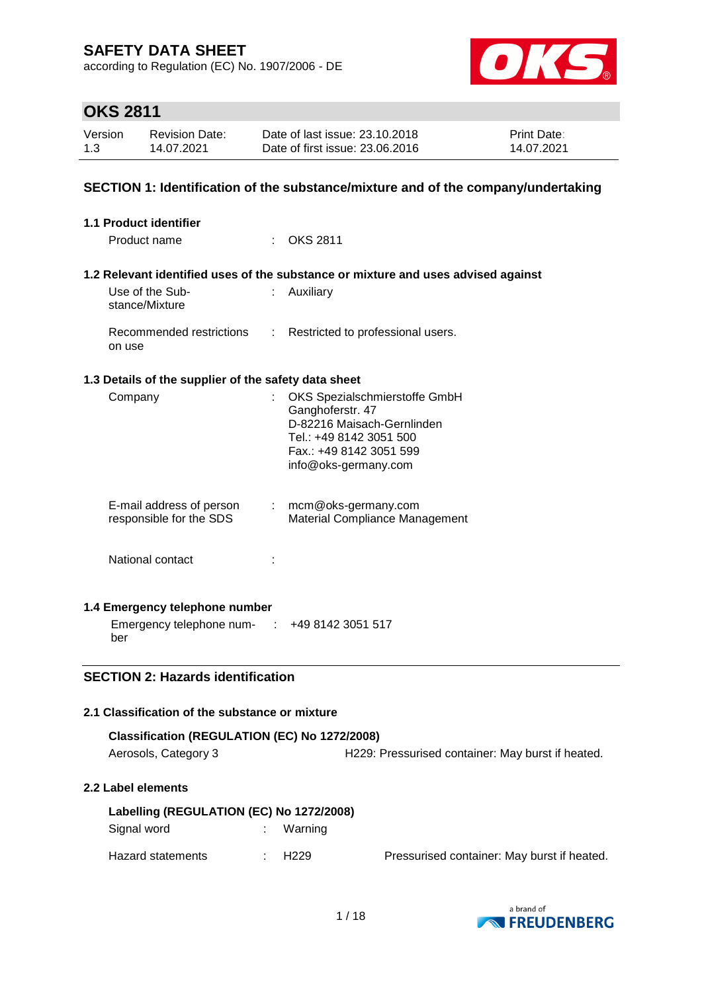according to Regulation (EC) No. 1907/2006 - DE



# **OKS 2811**

| Version | <b>Revision Date:</b> | Date of last issue: 23.10.2018  | <b>Print Date:</b> |
|---------|-----------------------|---------------------------------|--------------------|
| 1.3     | 14.07.2021            | Date of first issue: 23,06,2016 | 14.07.2021         |

#### **SECTION 1: Identification of the substance/mixture and of the company/undertaking**

| <b>1.1 Product identifier</b>                        |                               |                                                                                                                                                               |
|------------------------------------------------------|-------------------------------|---------------------------------------------------------------------------------------------------------------------------------------------------------------|
| Product name                                         |                               | <b>OKS 2811</b>                                                                                                                                               |
|                                                      |                               | 1.2 Relevant identified uses of the substance or mixture and uses advised against                                                                             |
| Use of the Sub-<br>stance/Mixture                    | t.                            | Auxiliary                                                                                                                                                     |
| Recommended restrictions<br>on use                   | t.                            | Restricted to professional users.                                                                                                                             |
| 1.3 Details of the supplier of the safety data sheet |                               |                                                                                                                                                               |
| Company                                              |                               | OKS Spezialschmierstoffe GmbH<br>Ganghoferstr. 47<br>D-82216 Maisach-Gernlinden<br>Tel.: +49 8142 3051 500<br>Fax.: +49 8142 3051 599<br>info@oks-germany.com |
| E-mail address of person<br>responsible for the SDS  | $\mathcal{I}^{\mathcal{I}}$ . | mcm@oks-germany.com<br>Material Compliance Management                                                                                                         |
| National contact                                     |                               |                                                                                                                                                               |
| 1.4 Emergency telephone number                       |                               |                                                                                                                                                               |
| Emergency telephone num- : +49 8142 3051 517<br>ber  |                               |                                                                                                                                                               |
| <b>SECTION 2: Hazards identification</b>             |                               |                                                                                                                                                               |
|                                                      |                               |                                                                                                                                                               |
| 2.1 Classification of the substance or mixture       |                               |                                                                                                                                                               |
| Classification (REGULATION (EC) No 1272/2008)        |                               |                                                                                                                                                               |

**Classification (REGULATION (EC) No 1272/2008)** Aerosols, Category 3 **H229: Pressurised container: May burst if heated.** 

#### **2.2 Label elements**

| Labelling (REGULATION (EC) No 1272/2008) |  |             |                                             |  |  |
|------------------------------------------|--|-------------|---------------------------------------------|--|--|
| Signal word                              |  | Warning     |                                             |  |  |
| Hazard statements                        |  | $\div$ H229 | Pressurised container: May burst if heated. |  |  |

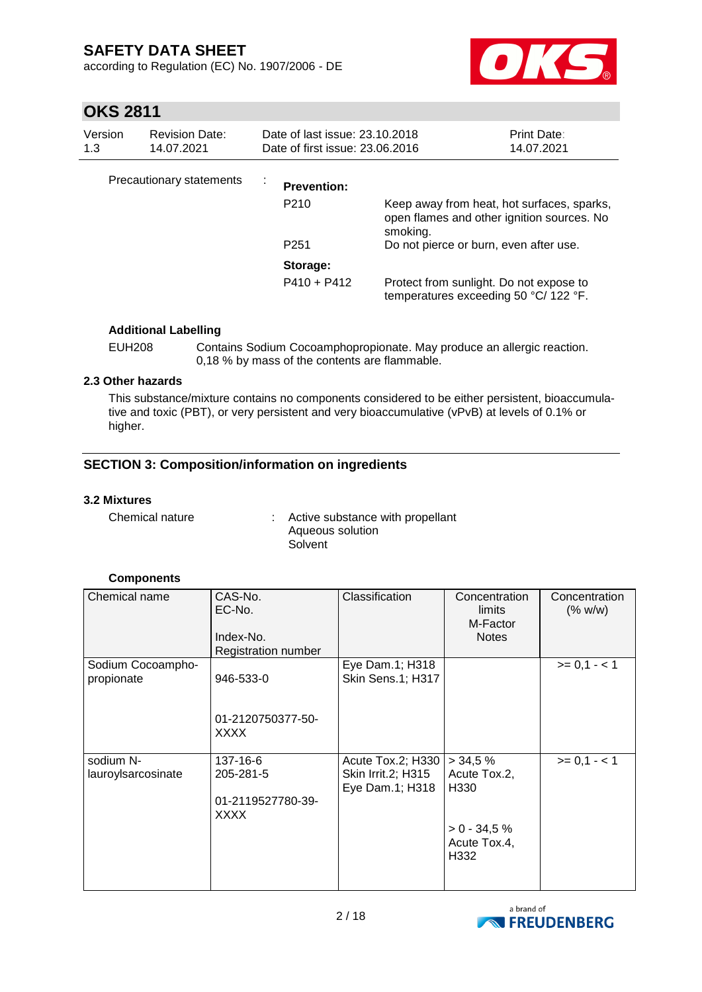according to Regulation (EC) No. 1907/2006 - DE



# **OKS 2811**

| Version<br>1.3 | <b>Revision Date:</b><br>14.07.2021 | Date of last issue: 23.10.2018<br>Date of first issue: 23,06,2016 |                                                                                                      | <b>Print Date:</b><br>14.07.2021 |
|----------------|-------------------------------------|-------------------------------------------------------------------|------------------------------------------------------------------------------------------------------|----------------------------------|
|                | Precautionary statements            | <b>Prevention:</b>                                                |                                                                                                      |                                  |
|                |                                     | P <sub>210</sub>                                                  | Keep away from heat, hot surfaces, sparks,<br>open flames and other ignition sources. No<br>smoking. |                                  |
|                |                                     | P <sub>251</sub>                                                  | Do not pierce or burn, even after use.                                                               |                                  |
|                |                                     | Storage:                                                          |                                                                                                      |                                  |
|                |                                     | $P410 + P412$                                                     | Protect from sunlight. Do not expose to<br>temperatures exceeding 50 $^{\circ}$ C/ 122 $^{\circ}$ F. |                                  |

#### **Additional Labelling**

EUH208 Contains Sodium Cocoamphopropionate. May produce an allergic reaction. 0,18 % by mass of the contents are flammable.

#### **2.3 Other hazards**

This substance/mixture contains no components considered to be either persistent, bioaccumulative and toxic (PBT), or very persistent and very bioaccumulative (vPvB) at levels of 0.1% or higher.

### **SECTION 3: Composition/information on ingredients**

#### **3.2 Mixtures**

Chemical nature : Active substance with propellant Aqueous solution **Solvent** 

#### **Components**

| Chemical name      | CAS-No.<br>EC-No.<br>Index-No.<br>Registration number | Classification            | Concentration<br>limits<br>M-Factor<br><b>Notes</b> | Concentration<br>(% w/w) |
|--------------------|-------------------------------------------------------|---------------------------|-----------------------------------------------------|--------------------------|
| Sodium Cocoampho-  |                                                       | Eye Dam.1; H318           |                                                     | $>= 0,1 - 1$             |
| propionate         | 946-533-0                                             | Skin Sens.1; H317         |                                                     |                          |
|                    | 01-2120750377-50-<br>XXXX                             |                           |                                                     |                          |
| sodium N-          | 137-16-6                                              | Acute Tox.2; H330         | > 34.5%                                             | $>= 0.1 - 1$             |
| lauroylsarcosinate | 205-281-5                                             | <b>Skin Irrit.2; H315</b> | Acute Tox.2,                                        |                          |
|                    |                                                       | Eye Dam.1; H318           | H330                                                |                          |
|                    | 01-2119527780-39-                                     |                           |                                                     |                          |
|                    | <b>XXXX</b>                                           |                           | $> 0 - 34.5 \%$<br>Acute Tox.4,<br>H332             |                          |

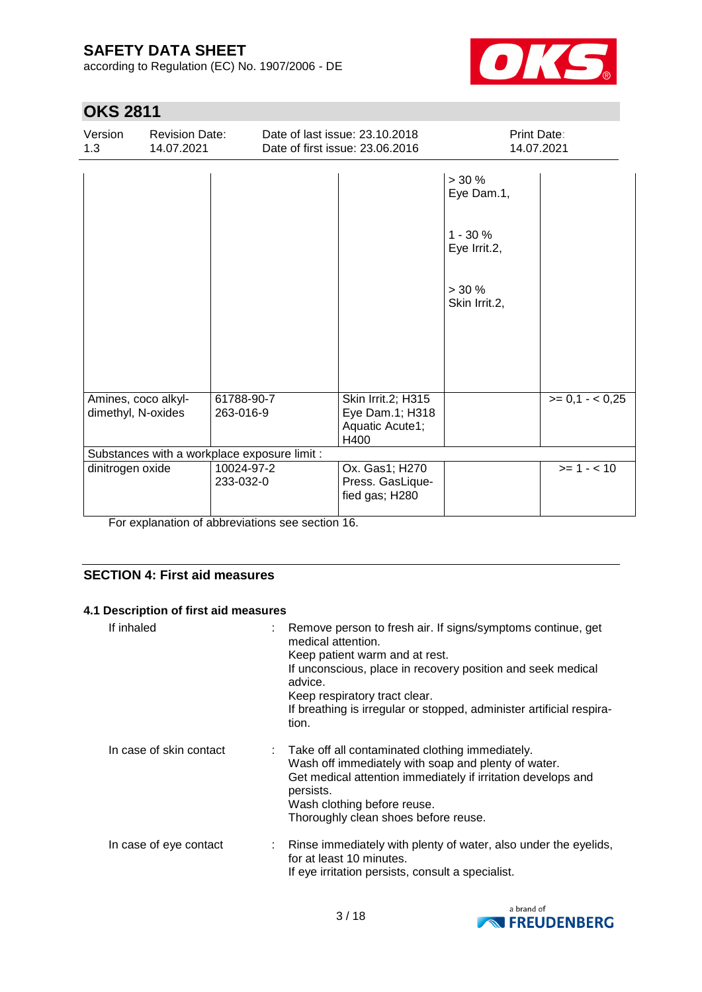according to Regulation (EC) No. 1907/2006 - DE



# **OKS 2811**

| Version<br>1.3                               | <b>Revision Date:</b><br>14.07.2021 |                         |  | Date of last issue: 23.10.2018<br>Date of first issue: 23.06.2016 | <b>Print Date:</b><br>14.07.2021 |                 |
|----------------------------------------------|-------------------------------------|-------------------------|--|-------------------------------------------------------------------|----------------------------------|-----------------|
|                                              |                                     |                         |  |                                                                   | $> 30 \%$<br>Eye Dam.1,          |                 |
|                                              |                                     |                         |  |                                                                   | $1 - 30 \%$<br>Eye Irrit.2,      |                 |
|                                              |                                     |                         |  |                                                                   | $> 30 \%$<br>Skin Irrit.2,       |                 |
|                                              |                                     |                         |  |                                                                   |                                  |                 |
|                                              |                                     |                         |  |                                                                   |                                  |                 |
| Amines, coco alkyl-<br>dimethyl, N-oxides    |                                     | 61788-90-7<br>263-016-9 |  | Skin Irrit.2; H315<br>Eye Dam.1; H318<br>Aquatic Acute1;<br>H400  |                                  | $>= 0.1 - 0.25$ |
| Substances with a workplace exposure limit : |                                     |                         |  |                                                                   |                                  |                 |
| dinitrogen oxide                             |                                     | 10024-97-2<br>233-032-0 |  | Ox. Gas1; H270<br>Press. GasLique-<br>fied gas; H280              |                                  | $>= 1 - 10$     |

For explanation of abbreviations see section 16.

#### **SECTION 4: First aid measures**

#### **4.1 Description of first aid measures**

| If inhaled              | : Remove person to fresh air. If signs/symptoms continue, get<br>medical attention.<br>Keep patient warm and at rest.<br>If unconscious, place in recovery position and seek medical<br>advice.<br>Keep respiratory tract clear.<br>If breathing is irregular or stopped, administer artificial respira-<br>tion. |
|-------------------------|-------------------------------------------------------------------------------------------------------------------------------------------------------------------------------------------------------------------------------------------------------------------------------------------------------------------|
| In case of skin contact | : Take off all contaminated clothing immediately.<br>Wash off immediately with soap and plenty of water.<br>Get medical attention immediately if irritation develops and<br>persists.<br>Wash clothing before reuse.<br>Thoroughly clean shoes before reuse.                                                      |
| In case of eye contact  | Rinse immediately with plenty of water, also under the eyelids,<br>for at least 10 minutes.<br>If eye irritation persists, consult a specialist.                                                                                                                                                                  |

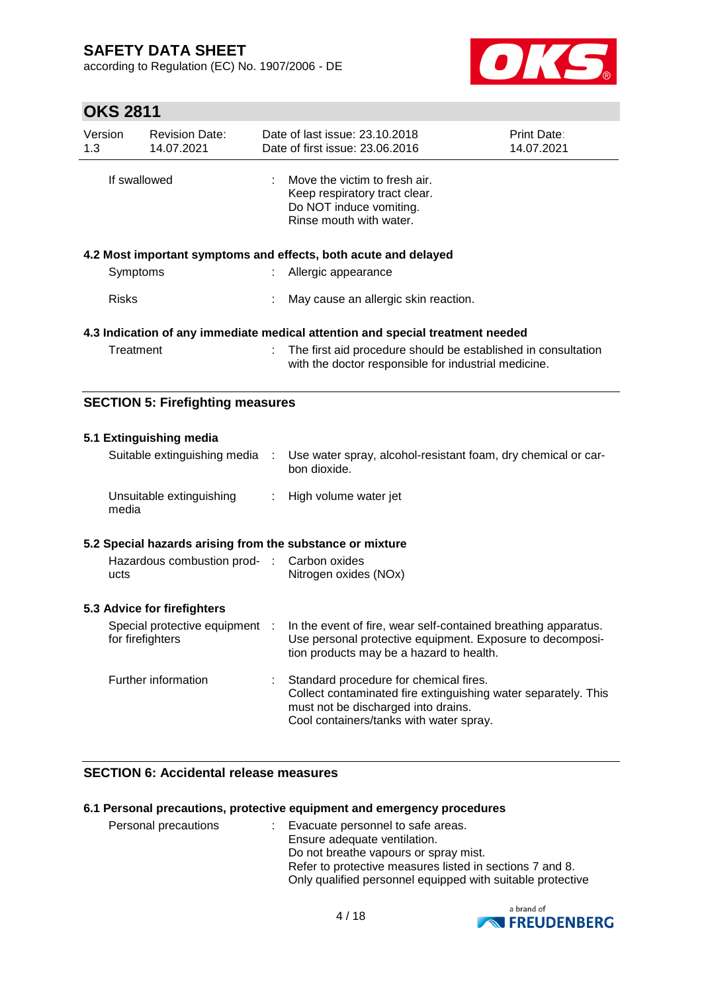according to Regulation (EC) No. 1907/2006 - DE



# **OKS 2811**

| Version<br>1.3 | <b>Revision Date:</b><br>14.07.2021     | Date of last issue: 23.10.2018<br>Date of first issue: 23.06.2016                                                     | <b>Print Date:</b><br>14.07.2021 |
|----------------|-----------------------------------------|-----------------------------------------------------------------------------------------------------------------------|----------------------------------|
| If swallowed   |                                         | Move the victim to fresh air.<br>Keep respiratory tract clear.<br>Do NOT induce vomiting.<br>Rinse mouth with water.  |                                  |
|                |                                         | 4.2 Most important symptoms and effects, both acute and delayed                                                       |                                  |
| Symptoms       |                                         | : Allergic appearance                                                                                                 |                                  |
| <b>Risks</b>   |                                         | May cause an allergic skin reaction.                                                                                  |                                  |
|                |                                         | 4.3 Indication of any immediate medical attention and special treatment needed                                        |                                  |
| Treatment      |                                         | The first aid procedure should be established in consultation<br>with the doctor responsible for industrial medicine. |                                  |
|                | <b>SECTION 5: Firefighting measures</b> |                                                                                                                       |                                  |
|                | 5.1 Extinguishing media                 |                                                                                                                       |                                  |

| Suitable extinguishing media      | Use water spray, alcohol-resistant foam, dry chemical or car-<br>bon dioxide. |
|-----------------------------------|-------------------------------------------------------------------------------|
| Unsuitable extinguishing<br>media | : High volume water jet                                                       |

#### **5.2 Special hazards arising from the substance or mixture**

| Hazardous combustion prod- : Carbon oxides |                       |
|--------------------------------------------|-----------------------|
| ucts                                       | Nitrogen oxides (NOx) |

#### **5.3 Advice for firefighters**

| Special protective equipment<br>for firefighters | -11 | In the event of fire, wear self-contained breathing apparatus.<br>Use personal protective equipment. Exposure to decomposi-<br>tion products may be a hazard to health.                    |
|--------------------------------------------------|-----|--------------------------------------------------------------------------------------------------------------------------------------------------------------------------------------------|
| Further information                              |     | Standard procedure for chemical fires.<br>Collect contaminated fire extinguishing water separately. This<br>must not be discharged into drains.<br>Cool containers/tanks with water spray. |

### **SECTION 6: Accidental release measures**

#### **6.1 Personal precautions, protective equipment and emergency procedures**

| Personal precautions | Evacuate personnel to safe areas.                          |
|----------------------|------------------------------------------------------------|
|                      | Ensure adequate ventilation.                               |
|                      | Do not breathe vapours or spray mist.                      |
|                      | Refer to protective measures listed in sections 7 and 8.   |
|                      | Only qualified personnel equipped with suitable protective |

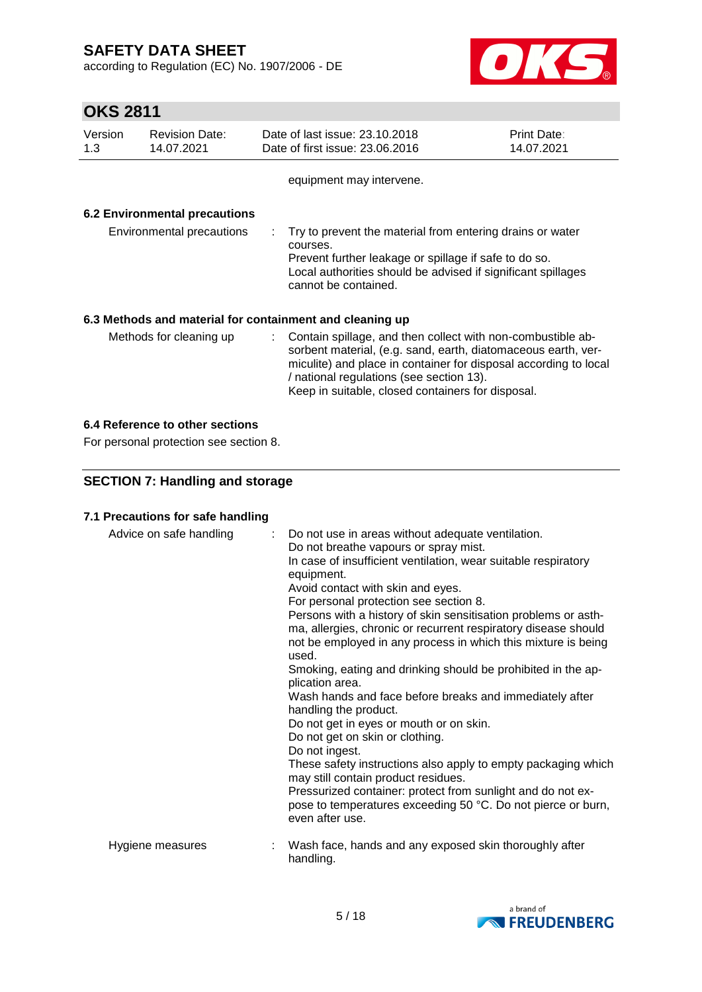according to Regulation (EC) No. 1907/2006 - DE



# **OKS 2811**

| Version<br>1.3          | <b>Revision Date:</b><br>14.07.2021 | Date of last issue: 23.10.2018<br>Date of first issue: 23.06.2016                                                                                                                                                      | <b>Print Date:</b><br>14.07.2021                                                                                                                                                                                                                                                                    |  |  |  |  |  |
|-------------------------|-------------------------------------|------------------------------------------------------------------------------------------------------------------------------------------------------------------------------------------------------------------------|-----------------------------------------------------------------------------------------------------------------------------------------------------------------------------------------------------------------------------------------------------------------------------------------------------|--|--|--|--|--|
|                         |                                     | equipment may intervene.                                                                                                                                                                                               |                                                                                                                                                                                                                                                                                                     |  |  |  |  |  |
|                         | 6.2 Environmental precautions       |                                                                                                                                                                                                                        |                                                                                                                                                                                                                                                                                                     |  |  |  |  |  |
|                         | Environmental precautions           | Try to prevent the material from entering drains or water<br>courses.<br>Prevent further leakage or spillage if safe to do so.<br>Local authorities should be advised if significant spillages<br>cannot be contained. |                                                                                                                                                                                                                                                                                                     |  |  |  |  |  |
|                         |                                     | 6.3 Methods and material for containment and cleaning up                                                                                                                                                               |                                                                                                                                                                                                                                                                                                     |  |  |  |  |  |
| Methods for cleaning up |                                     |                                                                                                                                                                                                                        | : Contain spillage, and then collect with non-combustible ab-<br>sorbent material, (e.g. sand, earth, diatomaceous earth, ver-<br>miculite) and place in container for disposal according to local<br>/ national regulations (see section 13).<br>Keep in suitable, closed containers for disposal. |  |  |  |  |  |

#### **6.4 Reference to other sections**

For personal protection see section 8.

### **SECTION 7: Handling and storage**

#### **7.1 Precautions for safe handling**

| Advice on safe handling | : Do not use in areas without adequate ventilation.<br>Do not breathe vapours or spray mist.<br>In case of insufficient ventilation, wear suitable respiratory<br>equipment.<br>Avoid contact with skin and eyes.<br>For personal protection see section 8.<br>Persons with a history of skin sensitisation problems or asth-<br>ma, allergies, chronic or recurrent respiratory disease should<br>not be employed in any process in which this mixture is being<br>used.<br>Smoking, eating and drinking should be prohibited in the ap-<br>plication area.<br>Wash hands and face before breaks and immediately after<br>handling the product.<br>Do not get in eyes or mouth or on skin.<br>Do not get on skin or clothing.<br>Do not ingest.<br>These safety instructions also apply to empty packaging which<br>may still contain product residues.<br>Pressurized container: protect from sunlight and do not ex-<br>pose to temperatures exceeding 50 °C. Do not pierce or burn,<br>even after use. |
|-------------------------|------------------------------------------------------------------------------------------------------------------------------------------------------------------------------------------------------------------------------------------------------------------------------------------------------------------------------------------------------------------------------------------------------------------------------------------------------------------------------------------------------------------------------------------------------------------------------------------------------------------------------------------------------------------------------------------------------------------------------------------------------------------------------------------------------------------------------------------------------------------------------------------------------------------------------------------------------------------------------------------------------------|
| Hygiene measures        | Wash face, hands and any exposed skin thoroughly after<br>handling.                                                                                                                                                                                                                                                                                                                                                                                                                                                                                                                                                                                                                                                                                                                                                                                                                                                                                                                                        |

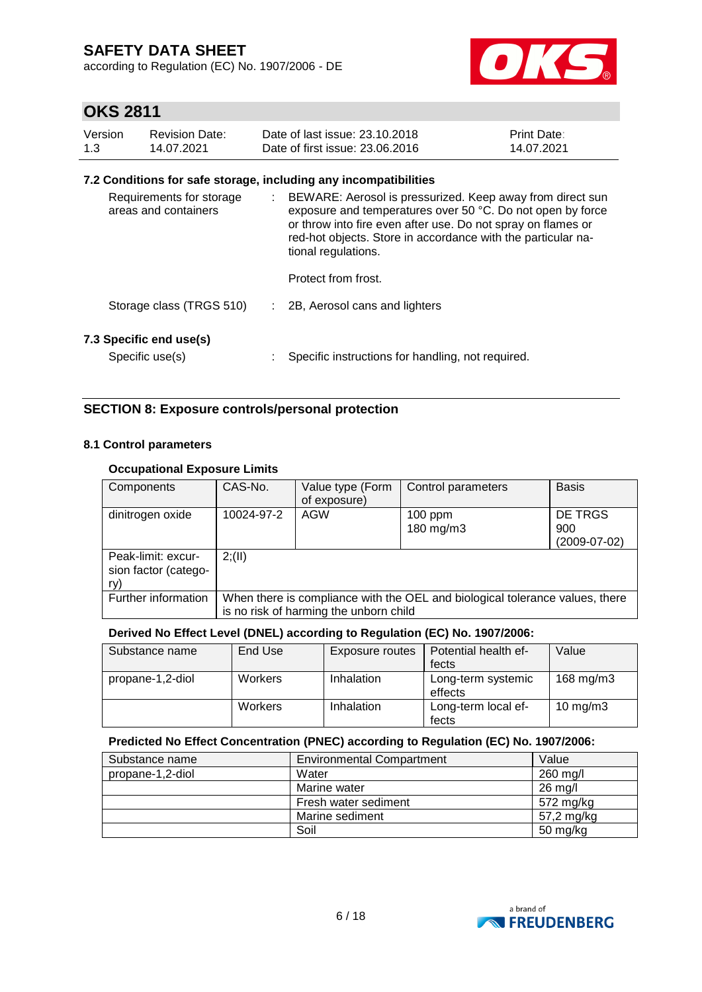according to Regulation (EC) No. 1907/2006 - DE



# **OKS 2811**

| Version | Revision Date: | Date of last issue: 23.10.2018  | <b>Print Date:</b> |
|---------|----------------|---------------------------------|--------------------|
| 1.3     | 14.07.2021     | Date of first issue: 23,06,2016 | 14.07.2021         |

#### **7.2 Conditions for safe storage, including any incompatibilities**

| Requirements for storage<br>areas and containers | ÷. | BEWARE: Aerosol is pressurized. Keep away from direct sun<br>exposure and temperatures over 50 °C. Do not open by force<br>or throw into fire even after use. Do not spray on flames or<br>red-hot objects. Store in accordance with the particular na-<br>tional regulations. |
|--------------------------------------------------|----|--------------------------------------------------------------------------------------------------------------------------------------------------------------------------------------------------------------------------------------------------------------------------------|
|                                                  |    | Protect from frost.                                                                                                                                                                                                                                                            |
| Storage class (TRGS 510)                         |    | 2B, Aerosol cans and lighters                                                                                                                                                                                                                                                  |
| 7.3 Specific end use(s)<br>Specific use(s)       |    | Specific instructions for handling, not required.                                                                                                                                                                                                                              |

#### **SECTION 8: Exposure controls/personal protection**

#### **8.1 Control parameters**

#### **Occupational Exposure Limits**

| Components           | CAS-No.                                                                      | Value type (Form | Control parameters | <b>Basis</b>   |  |  |
|----------------------|------------------------------------------------------------------------------|------------------|--------------------|----------------|--|--|
|                      |                                                                              |                  |                    |                |  |  |
|                      |                                                                              | of exposure)     |                    |                |  |  |
| dinitrogen oxide     | 10024-97-2                                                                   | AGW              | $100$ ppm          | DE TRGS        |  |  |
|                      |                                                                              |                  | 180 mg/m3          | 900            |  |  |
|                      |                                                                              |                  |                    |                |  |  |
|                      |                                                                              |                  |                    | $(2009-07-02)$ |  |  |
| Peak-limit: excur-   | 2(11)                                                                        |                  |                    |                |  |  |
|                      |                                                                              |                  |                    |                |  |  |
| sion factor (catego- |                                                                              |                  |                    |                |  |  |
| ry)                  |                                                                              |                  |                    |                |  |  |
| Further information  | When there is compliance with the OEL and biological tolerance values, there |                  |                    |                |  |  |
|                      |                                                                              |                  |                    |                |  |  |
|                      | is no risk of harming the unborn child                                       |                  |                    |                |  |  |

#### **Derived No Effect Level (DNEL) according to Regulation (EC) No. 1907/2006:**

| Substance name   | End Use        | Exposure routes | Potential health ef-          | Value         |
|------------------|----------------|-----------------|-------------------------------|---------------|
|                  |                |                 | fects                         |               |
| propane-1,2-diol | <b>Workers</b> | Inhalation      | Long-term systemic<br>effects | 168 $mg/m3$   |
|                  | <b>Workers</b> | Inhalation      | Long-term local ef-<br>fects  | $10$ mg/m $3$ |

#### **Predicted No Effect Concentration (PNEC) according to Regulation (EC) No. 1907/2006:**

| Substance name   | <b>Environmental Compartment</b> | Value             |
|------------------|----------------------------------|-------------------|
| propane-1,2-diol | Water                            | 260 mg/l          |
|                  | Marine water                     | $26 \text{ mg/l}$ |
|                  | Fresh water sediment             | 572 mg/kg         |
|                  | Marine sediment                  | 57,2 mg/kg        |
|                  | Soil                             | 50 mg/kg          |

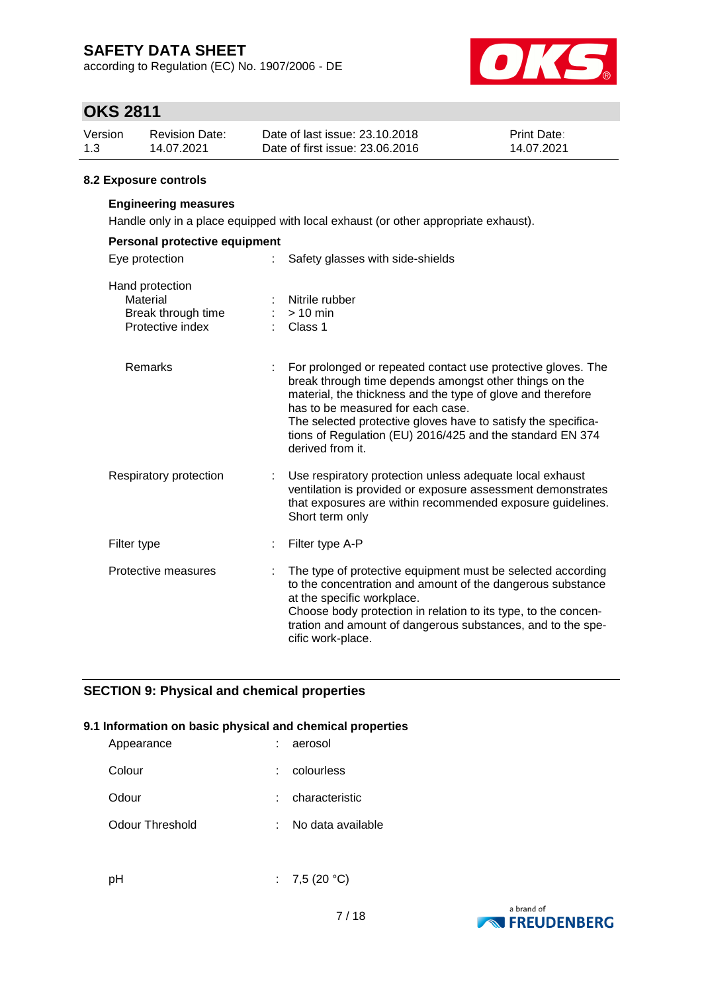according to Regulation (EC) No. 1907/2006 - DE



## **OKS 2811**

| Version | <b>Revision Date:</b> | Date of last issue: 23.10.2018  | <b>Print Date:</b> |
|---------|-----------------------|---------------------------------|--------------------|
| 1.3     | 14.07.2021            | Date of first issue: 23,06,2016 | 14.07.2021         |

#### **8.2 Exposure controls**

#### **Engineering measures**

Handle only in a place equipped with local exhaust (or other appropriate exhaust).

| Personal protective equipment                                         |  |                                                                                                                                                                                                                                                                                                                                                                              |  |  |  |
|-----------------------------------------------------------------------|--|------------------------------------------------------------------------------------------------------------------------------------------------------------------------------------------------------------------------------------------------------------------------------------------------------------------------------------------------------------------------------|--|--|--|
| Eye protection                                                        |  | Safety glasses with side-shields                                                                                                                                                                                                                                                                                                                                             |  |  |  |
| Hand protection<br>Material<br>Break through time<br>Protective index |  | Nitrile rubber<br>$>10$ min<br>Class 1                                                                                                                                                                                                                                                                                                                                       |  |  |  |
| Remarks                                                               |  | For prolonged or repeated contact use protective gloves. The<br>break through time depends amongst other things on the<br>material, the thickness and the type of glove and therefore<br>has to be measured for each case.<br>The selected protective gloves have to satisfy the specifica-<br>tions of Regulation (EU) 2016/425 and the standard EN 374<br>derived from it. |  |  |  |
| Respiratory protection                                                |  | Use respiratory protection unless adequate local exhaust<br>ventilation is provided or exposure assessment demonstrates<br>that exposures are within recommended exposure guidelines.<br>Short term only                                                                                                                                                                     |  |  |  |
| Filter type                                                           |  | Filter type A-P                                                                                                                                                                                                                                                                                                                                                              |  |  |  |
| Protective measures                                                   |  | The type of protective equipment must be selected according<br>to the concentration and amount of the dangerous substance<br>at the specific workplace.<br>Choose body protection in relation to its type, to the concen-<br>tration and amount of dangerous substances, and to the spe-<br>cific work-place.                                                                |  |  |  |

#### **SECTION 9: Physical and chemical properties**

#### **9.1 Information on basic physical and chemical properties**

| : colourless      |
|-------------------|
| : characteristic  |
| No data available |
|                   |

pH : 7,5 (20 °C)

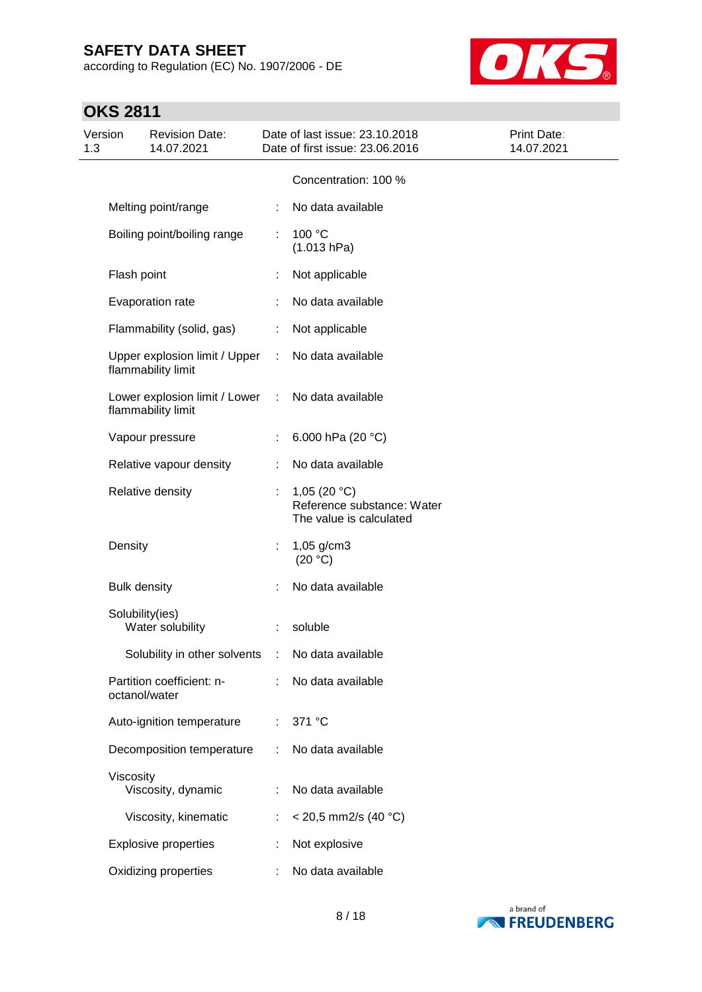according to Regulation (EC) No. 1907/2006 - DE



| Version<br>1.3 |                     | <b>Revision Date:</b><br>14.07.2021                 |           | Date of last issue: 23.10.2018<br>Date of first issue: 23.06.2016       | <b>Print Date:</b><br>14.07.2021 |
|----------------|---------------------|-----------------------------------------------------|-----------|-------------------------------------------------------------------------|----------------------------------|
|                |                     |                                                     |           | Concentration: 100 %                                                    |                                  |
|                |                     | Melting point/range                                 |           | No data available                                                       |                                  |
|                |                     | Boiling point/boiling range                         | ÷         | 100 °C<br>(1.013 hPa)                                                   |                                  |
|                | Flash point         |                                                     |           | Not applicable                                                          |                                  |
|                |                     | Evaporation rate                                    |           | No data available                                                       |                                  |
|                |                     | Flammability (solid, gas)                           |           | Not applicable                                                          |                                  |
|                |                     | Upper explosion limit / Upper<br>flammability limit | ÷.        | No data available                                                       |                                  |
|                |                     | Lower explosion limit / Lower<br>flammability limit | $\sim 10$ | No data available                                                       |                                  |
|                |                     | Vapour pressure                                     | ÷         | 6.000 hPa (20 °C)                                                       |                                  |
|                |                     | Relative vapour density                             | ÷         | No data available                                                       |                                  |
|                |                     | Relative density                                    |           | 1,05 $(20 °C)$<br>Reference substance: Water<br>The value is calculated |                                  |
|                | Density             |                                                     | ÷         | 1,05 g/cm3<br>(20 °C)                                                   |                                  |
|                | <b>Bulk density</b> |                                                     |           | No data available                                                       |                                  |
|                | Solubility(ies)     | Water solubility                                    | ÷         | soluble                                                                 |                                  |
|                |                     | Solubility in other solvents : No data available    |           |                                                                         |                                  |
|                | octanol/water       | Partition coefficient: n-                           |           | No data available                                                       |                                  |
|                |                     | Auto-ignition temperature                           | ÷         | 371 °C                                                                  |                                  |
|                |                     | Decomposition temperature                           | ÷         | No data available                                                       |                                  |
|                | Viscosity           | Viscosity, dynamic                                  |           | No data available                                                       |                                  |
|                |                     | Viscosity, kinematic                                |           | $<$ 20,5 mm2/s (40 °C)                                                  |                                  |
|                |                     | <b>Explosive properties</b>                         |           | Not explosive                                                           |                                  |
|                |                     | Oxidizing properties                                | ÷         | No data available                                                       |                                  |

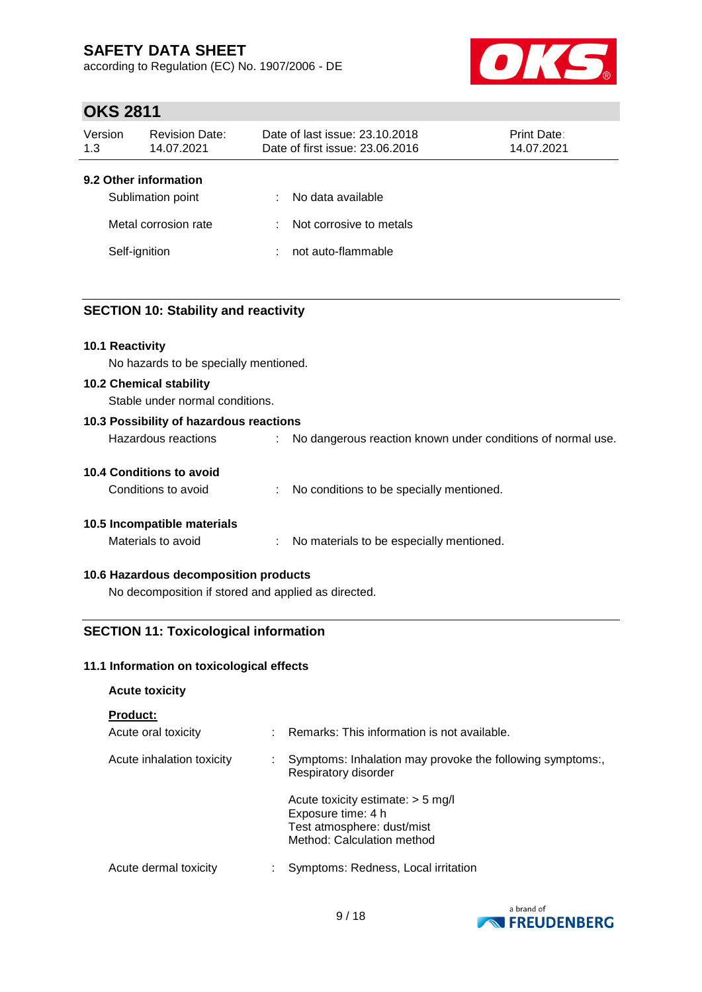according to Regulation (EC) No. 1907/2006 - DE



### **OKS 2811**

| Version                                | <b>Revision Date:</b>                     | Date of last issue: 23.10.2018  |                                                                    | <b>Print Date:</b> |
|----------------------------------------|-------------------------------------------|---------------------------------|--------------------------------------------------------------------|--------------------|
| 1.3                                    | 14.07.2021                                | Date of first issue: 23.06.2016 |                                                                    | 14.07.2021         |
| 9.2 Other information<br>Self-ignition | Sublimation point<br>Metal corrosion rate | ÷<br>÷<br>÷                     | No data available<br>Not corrosive to metals<br>not auto-flammable |                    |

#### **SECTION 10: Stability and reactivity**

#### **10.1 Reactivity**

No hazards to be specially mentioned.

#### **10.2 Chemical stability**

Stable under normal conditions.

| 10.3 Possibility of hazardous reactions |  |                                                               |  |  |
|-----------------------------------------|--|---------------------------------------------------------------|--|--|
| Hazardous reactions                     |  | : No dangerous reaction known under conditions of normal use. |  |  |
| <b>10.4 Conditions to avoid</b>         |  |                                                               |  |  |
| Conditions to avoid                     |  | No conditions to be specially mentioned.                      |  |  |

### **10.5 Incompatible materials**

#### **10.6 Hazardous decomposition products**

No decomposition if stored and applied as directed.

#### **SECTION 11: Toxicological information**

#### **11.1 Information on toxicological effects**

#### **Acute toxicity**

#### **Product:**

| .<br>Acute oral toxicity  | A. | Remarks: This information is not available.                                                                           |
|---------------------------|----|-----------------------------------------------------------------------------------------------------------------------|
| Acute inhalation toxicity |    | Symptoms: Inhalation may provoke the following symptoms:,<br>Respiratory disorder                                     |
|                           |    | Acute toxicity estimate: $>$ 5 mg/l<br>Exposure time: 4 h<br>Test atmosphere: dust/mist<br>Method: Calculation method |
| Acute dermal toxicity     |    | Symptoms: Redness, Local irritation                                                                                   |

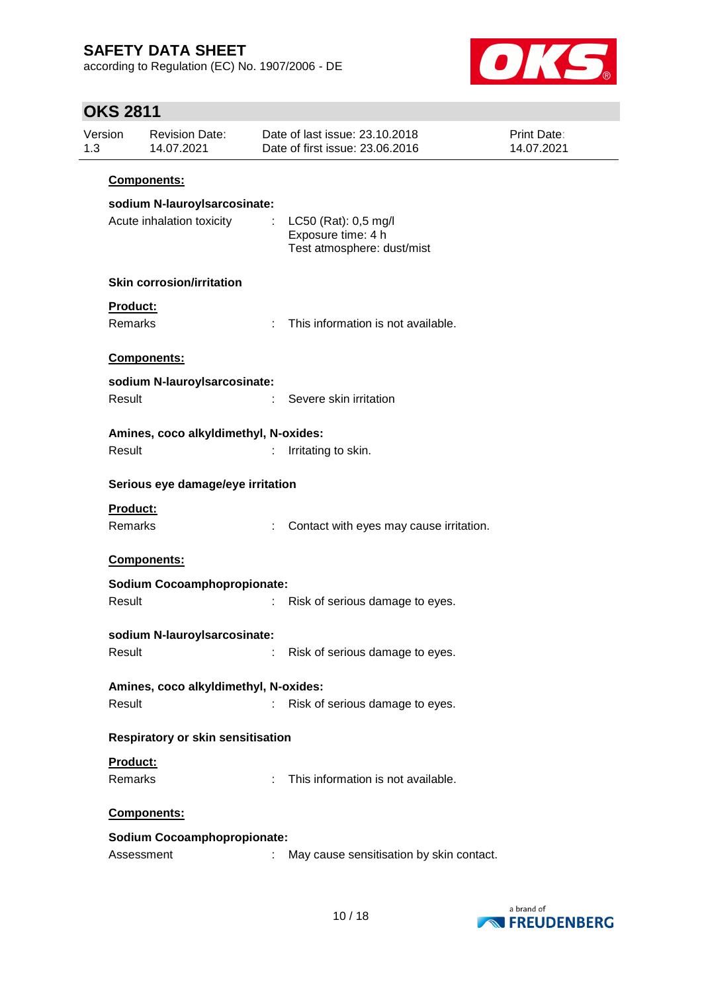according to Regulation (EC) No. 1907/2006 - DE



| 1.3 | Version<br><b>Revision Date:</b><br>14.07.2021            |    | Date of last issue: 23.10.2018<br>Date of first issue: 23.06.2016        | <b>Print Date:</b><br>14.07.2021 |  |  |  |
|-----|-----------------------------------------------------------|----|--------------------------------------------------------------------------|----------------------------------|--|--|--|
|     | Components:                                               |    |                                                                          |                                  |  |  |  |
|     | sodium N-lauroyIsarcosinate:<br>Acute inhalation toxicity | ÷  | LC50 (Rat): 0,5 mg/l<br>Exposure time: 4 h<br>Test atmosphere: dust/mist |                                  |  |  |  |
|     | <b>Skin corrosion/irritation</b>                          |    |                                                                          |                                  |  |  |  |
|     | Product:                                                  |    |                                                                          |                                  |  |  |  |
|     | Remarks                                                   | ÷  | This information is not available.                                       |                                  |  |  |  |
|     | Components:                                               |    |                                                                          |                                  |  |  |  |
|     | sodium N-lauroyIsarcosinate:                              |    |                                                                          |                                  |  |  |  |
|     | Result                                                    |    | Severe skin irritation                                                   |                                  |  |  |  |
|     | Amines, coco alkyldimethyl, N-oxides:                     |    |                                                                          |                                  |  |  |  |
|     | Result                                                    | t. | Irritating to skin.                                                      |                                  |  |  |  |
|     | Serious eye damage/eye irritation                         |    |                                                                          |                                  |  |  |  |
|     | <b>Product:</b><br>Remarks                                | t  | Contact with eyes may cause irritation.                                  |                                  |  |  |  |
|     | Components:                                               |    |                                                                          |                                  |  |  |  |
|     | <b>Sodium Cocoamphopropionate:</b>                        |    |                                                                          |                                  |  |  |  |
|     | Result                                                    |    | Risk of serious damage to eyes.                                          |                                  |  |  |  |
|     | sodium N-lauroylsarcosinate:                              |    |                                                                          |                                  |  |  |  |
|     | Result                                                    |    | Risk of serious damage to eyes.                                          |                                  |  |  |  |
|     | Amines, coco alkyldimethyl, N-oxides:                     |    |                                                                          |                                  |  |  |  |
|     | Result                                                    | t. | Risk of serious damage to eyes.                                          |                                  |  |  |  |
|     | Respiratory or skin sensitisation                         |    |                                                                          |                                  |  |  |  |
|     | Product:                                                  |    |                                                                          |                                  |  |  |  |
|     | Remarks                                                   | ÷  | This information is not available.                                       |                                  |  |  |  |
|     | Components:                                               |    |                                                                          |                                  |  |  |  |
|     | <b>Sodium Cocoamphopropionate:</b>                        |    |                                                                          |                                  |  |  |  |
|     | Assessment                                                | t  | May cause sensitisation by skin contact.                                 |                                  |  |  |  |

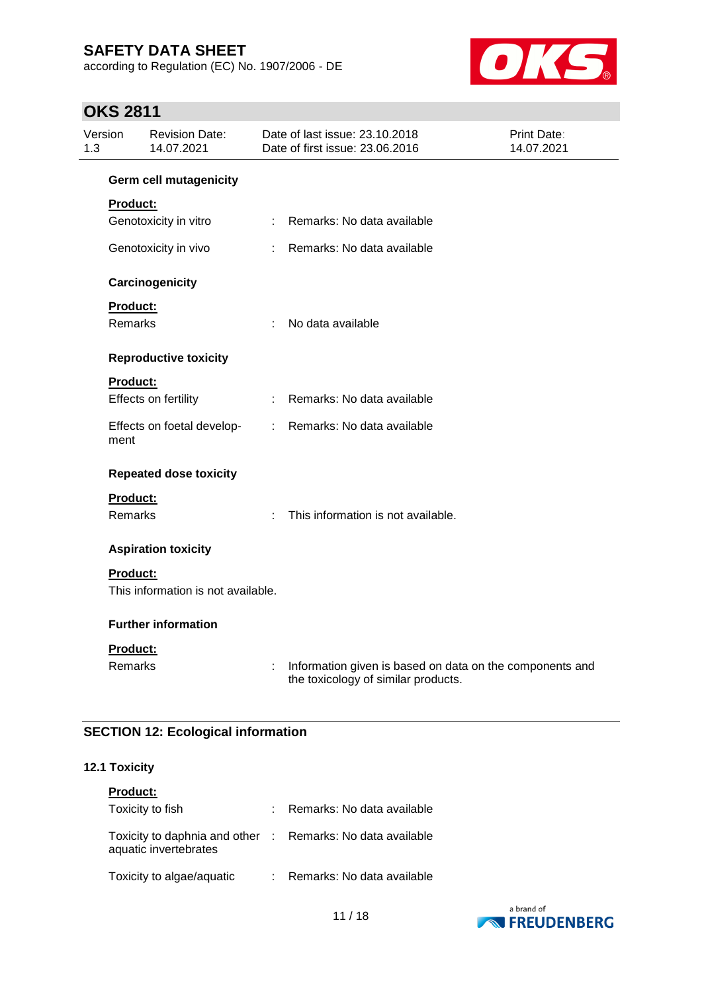according to Regulation (EC) No. 1907/2006 - DE



## **OKS 2811**

| Version<br>1.3 |                 | <b>Revision Date:</b><br>14.07.2021 |                           | Date of last issue: 23.10.2018<br>Date of first issue: 23.06.2016                               | Print Date:<br>14.07.2021 |
|----------------|-----------------|-------------------------------------|---------------------------|-------------------------------------------------------------------------------------------------|---------------------------|
|                |                 | <b>Germ cell mutagenicity</b>       |                           |                                                                                                 |                           |
|                | <b>Product:</b> |                                     |                           |                                                                                                 |                           |
|                |                 | Genotoxicity in vitro               |                           | : Remarks: No data available                                                                    |                           |
|                |                 | Genotoxicity in vivo                | $\mathbb{R}^{\mathbb{Z}}$ | Remarks: No data available                                                                      |                           |
|                |                 | Carcinogenicity                     |                           |                                                                                                 |                           |
|                | Product:        |                                     |                           |                                                                                                 |                           |
|                | <b>Remarks</b>  |                                     | ÷                         | No data available                                                                               |                           |
|                |                 | <b>Reproductive toxicity</b>        |                           |                                                                                                 |                           |
|                | <b>Product:</b> |                                     |                           |                                                                                                 |                           |
|                |                 | Effects on fertility                | $\mathbb{R}^n$            | Remarks: No data available                                                                      |                           |
|                | ment            | Effects on foetal develop-          |                           | : Remarks: No data available                                                                    |                           |
|                |                 | <b>Repeated dose toxicity</b>       |                           |                                                                                                 |                           |
|                | <b>Product:</b> |                                     |                           |                                                                                                 |                           |
|                | <b>Remarks</b>  |                                     |                           | This information is not available.                                                              |                           |
|                |                 | <b>Aspiration toxicity</b>          |                           |                                                                                                 |                           |
|                | <b>Product:</b> |                                     |                           |                                                                                                 |                           |
|                |                 | This information is not available.  |                           |                                                                                                 |                           |
|                |                 | <b>Further information</b>          |                           |                                                                                                 |                           |
|                | Product:        |                                     |                           |                                                                                                 |                           |
|                | Remarks         |                                     | ÷                         | Information given is based on data on the components and<br>the toxicology of similar products. |                           |

### **SECTION 12: Ecological information**

#### **12.1 Toxicity**

| <b>Product:</b>                                                                     |                              |
|-------------------------------------------------------------------------------------|------------------------------|
| Toxicity to fish                                                                    | : Remarks: No data available |
| Toxicity to daphnia and other : Remarks: No data available<br>aquatic invertebrates |                              |
| Toxicity to algae/aquatic                                                           | : Remarks: No data available |

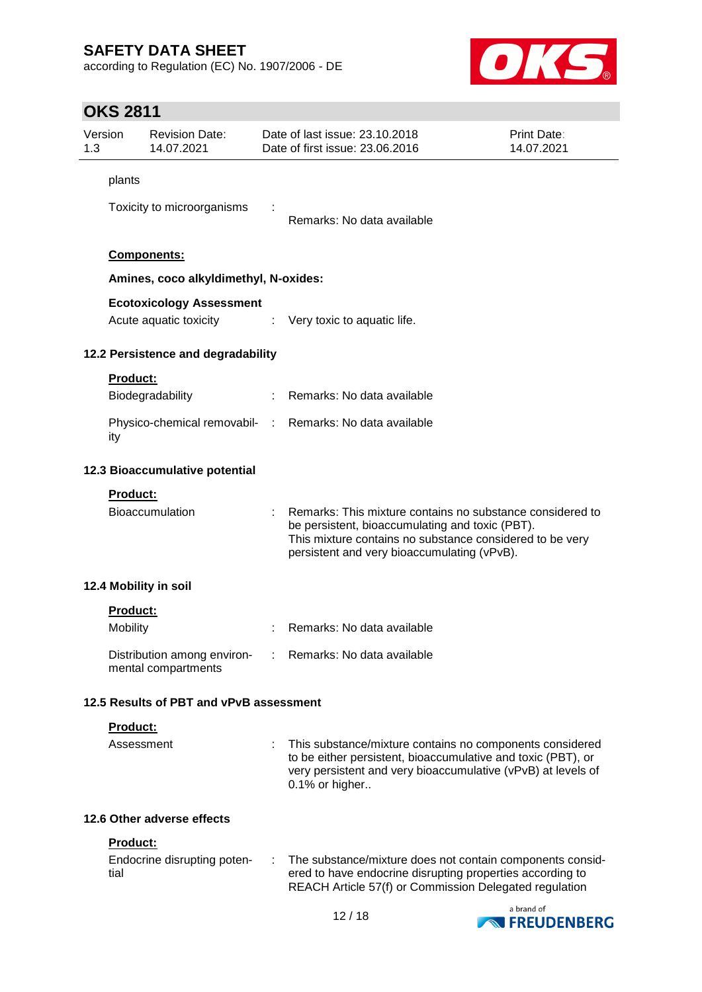according to Regulation (EC) No. 1907/2006 - DE



| Version<br><b>Revision Date:</b><br>1.3<br>14.07.2021 |                         | Date of last issue: 23.10.2018<br><b>Print Date:</b><br>Date of first issue: 23,06,2016<br>14.07.2021 |   |                                                                                                                                                                                                                         |            |
|-------------------------------------------------------|-------------------------|-------------------------------------------------------------------------------------------------------|---|-------------------------------------------------------------------------------------------------------------------------------------------------------------------------------------------------------------------------|------------|
|                                                       | plants                  |                                                                                                       |   |                                                                                                                                                                                                                         |            |
|                                                       |                         | Toxicity to microorganisms                                                                            |   | Remarks: No data available                                                                                                                                                                                              |            |
|                                                       |                         | Components:                                                                                           |   |                                                                                                                                                                                                                         |            |
|                                                       |                         | Amines, coco alkyldimethyl, N-oxides:                                                                 |   |                                                                                                                                                                                                                         |            |
|                                                       |                         | <b>Ecotoxicology Assessment</b><br>Acute aquatic toxicity                                             |   | $\therefore$ Very toxic to aquatic life.                                                                                                                                                                                |            |
|                                                       |                         | 12.2 Persistence and degradability                                                                    |   |                                                                                                                                                                                                                         |            |
|                                                       | <b>Product:</b>         | Biodegradability                                                                                      |   | : Remarks: No data available                                                                                                                                                                                            |            |
|                                                       | ity                     |                                                                                                       |   | Physico-chemical removabil- : Remarks: No data available                                                                                                                                                                |            |
|                                                       |                         | 12.3 Bioaccumulative potential                                                                        |   |                                                                                                                                                                                                                         |            |
|                                                       | <b>Product:</b>         | <b>Bioaccumulation</b>                                                                                |   | Remarks: This mixture contains no substance considered to<br>be persistent, bioaccumulating and toxic (PBT).<br>This mixture contains no substance considered to be very<br>persistent and very bioaccumulating (vPvB). |            |
|                                                       |                         | 12.4 Mobility in soil                                                                                 |   |                                                                                                                                                                                                                         |            |
|                                                       | <b>Product:</b>         |                                                                                                       |   |                                                                                                                                                                                                                         |            |
|                                                       | Mobility                |                                                                                                       |   | Remarks: No data available                                                                                                                                                                                              |            |
|                                                       |                         | Distribution among environ-<br>mental compartments                                                    |   | Remarks: No data available                                                                                                                                                                                              |            |
|                                                       |                         | 12.5 Results of PBT and vPvB assessment                                                               |   |                                                                                                                                                                                                                         |            |
|                                                       | Product:                |                                                                                                       |   |                                                                                                                                                                                                                         |            |
|                                                       | Assessment              |                                                                                                       |   | This substance/mixture contains no components considered<br>to be either persistent, bioaccumulative and toxic (PBT), or<br>very persistent and very bioaccumulative (vPvB) at levels of<br>0.1% or higher              |            |
|                                                       |                         | 12.6 Other adverse effects                                                                            |   |                                                                                                                                                                                                                         |            |
|                                                       | <b>Product:</b><br>tial | Endocrine disrupting poten-                                                                           | ÷ | The substance/mixture does not contain components consid-<br>ered to have endocrine disrupting properties according to<br>REACH Article 57(f) or Commission Delegated regulation                                        | a brand of |

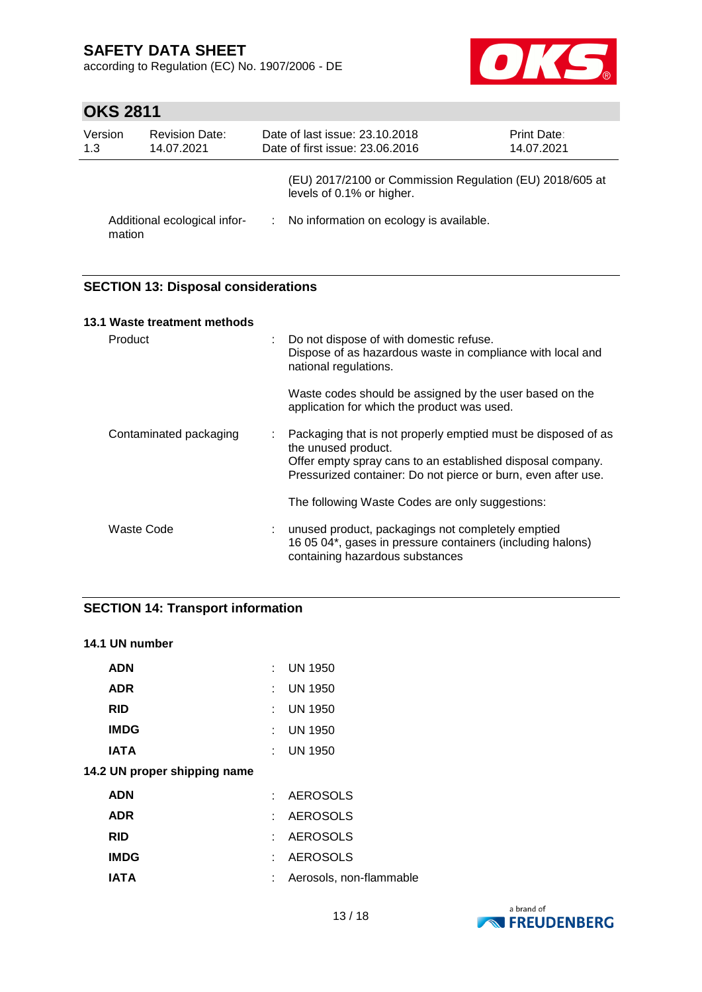according to Regulation (EC) No. 1907/2006 - DE



# **OKS 2811**

| Version<br>1.3 | <b>Revision Date:</b><br>14.07.2021 | Date of last issue: 23.10.2018<br>Date of first issue: 23.06.2016                     | Print Date:<br>14.07.2021 |
|----------------|-------------------------------------|---------------------------------------------------------------------------------------|---------------------------|
|                |                                     | (EU) 2017/2100 or Commission Regulation (EU) 2018/605 at<br>levels of 0.1% or higher. |                           |
| mation         | Additional ecological infor-        | : No information on ecology is available.                                             |                           |

### **SECTION 13: Disposal considerations**

|         | 13.1 Waste treatment methods |                                                                                                                                                                                                                     |
|---------|------------------------------|---------------------------------------------------------------------------------------------------------------------------------------------------------------------------------------------------------------------|
| Product |                              | Do not dispose of with domestic refuse.<br>Dispose of as hazardous waste in compliance with local and<br>national regulations.                                                                                      |
|         |                              | Waste codes should be assigned by the user based on the<br>application for which the product was used.                                                                                                              |
|         | Contaminated packaging<br>÷. | Packaging that is not properly emptied must be disposed of as<br>the unused product.<br>Offer empty spray cans to an established disposal company.<br>Pressurized container: Do not pierce or burn, even after use. |
|         |                              | The following Waste Codes are only suggestions:                                                                                                                                                                     |
|         | Waste Code                   | unused product, packagings not completely emptied<br>16 05 04*, gases in pressure containers (including halons)<br>containing hazardous substances                                                                  |

### **SECTION 14: Transport information**

#### **14.1 UN number**

| <b>ADN</b>                   |    | $:$ UN 1950             |
|------------------------------|----|-------------------------|
| <b>ADR</b>                   |    | $:$ UN 1950             |
| <b>RID</b>                   |    | $\therefore$ UN 1950    |
| <b>IMDG</b>                  |    | $:$ UN 1950             |
| <b>IATA</b>                  |    | $\therefore$ UN 1950    |
| 14.2 UN proper shipping name |    |                         |
| <b>ADN</b>                   |    | : AEROSOLS              |
| <b>ADR</b>                   |    | : AEROSOLS              |
| <b>RID</b>                   |    | : AEROSOLS              |
| <b>IMDG</b>                  |    | : AEROSOLS              |
| <b>IATA</b>                  | t. | Aerosols, non-flammable |

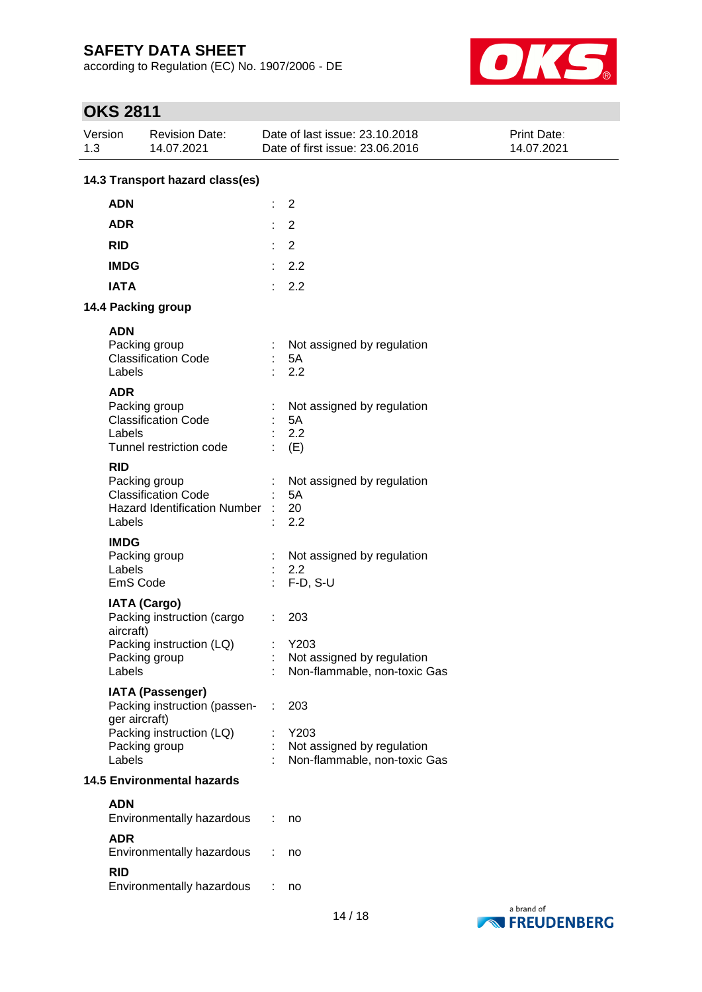according to Regulation (EC) No. 1907/2006 - DE



| Version<br>1.3 |                                   | <b>Revision Date:</b><br>14.07.2021                                                                  |   | Date of last issue: 23.10.2018<br>Date of first issue: 23.06.2016         | <b>Print Date:</b><br>14.07.2021 |  |  |
|----------------|-----------------------------------|------------------------------------------------------------------------------------------------------|---|---------------------------------------------------------------------------|----------------------------------|--|--|
|                | 14.3 Transport hazard class(es)   |                                                                                                      |   |                                                                           |                                  |  |  |
|                | <b>ADN</b>                        |                                                                                                      | t | $\overline{2}$                                                            |                                  |  |  |
|                | <b>ADR</b>                        |                                                                                                      | ÷ | $\overline{2}$                                                            |                                  |  |  |
|                | <b>RID</b>                        |                                                                                                      | ÷ | 2                                                                         |                                  |  |  |
|                | <b>IMDG</b>                       |                                                                                                      | ÷ | 2.2                                                                       |                                  |  |  |
|                | <b>IATA</b>                       |                                                                                                      | ÷ | 2.2                                                                       |                                  |  |  |
|                |                                   | 14.4 Packing group                                                                                   |   |                                                                           |                                  |  |  |
|                | <b>ADN</b>                        |                                                                                                      |   |                                                                           |                                  |  |  |
|                | Labels                            | Packing group<br><b>Classification Code</b>                                                          |   | Not assigned by regulation<br>5A<br>2.2                                   |                                  |  |  |
|                | <b>ADR</b><br>Labels              | Packing group<br><b>Classification Code</b><br>Tunnel restriction code                               |   | Not assigned by regulation<br>5A<br>2.2<br>(E)                            |                                  |  |  |
|                | <b>RID</b><br>Labels              | Packing group<br><b>Classification Code</b><br><b>Hazard Identification Number</b>                   |   | Not assigned by regulation<br>5A<br>20<br>2.2                             |                                  |  |  |
|                | <b>IMDG</b><br>Labels<br>EmS Code | Packing group                                                                                        |   | Not assigned by regulation<br>2.2<br>$F-D, S-U$                           |                                  |  |  |
|                | aircraft)<br>Labels               | <b>IATA (Cargo)</b><br>Packing instruction (cargo<br>Packing instruction (LQ)<br>Packing group       |   | 203<br>Y203<br>Not assigned by regulation<br>Non-flammable, non-toxic Gas |                                  |  |  |
|                | ger aircraft)<br>Labels           | <b>IATA (Passenger)</b><br>Packing instruction (passen-<br>Packing instruction (LQ)<br>Packing group | ÷ | 203<br>Y203<br>Not assigned by regulation<br>Non-flammable, non-toxic Gas |                                  |  |  |
|                |                                   | <b>14.5 Environmental hazards</b>                                                                    |   |                                                                           |                                  |  |  |
|                | <b>ADN</b>                        | Environmentally hazardous                                                                            |   | no                                                                        |                                  |  |  |
|                | <b>ADR</b><br><b>RID</b>          | Environmentally hazardous                                                                            |   | no                                                                        |                                  |  |  |
|                |                                   | Environmentally hazardous                                                                            |   | no                                                                        |                                  |  |  |

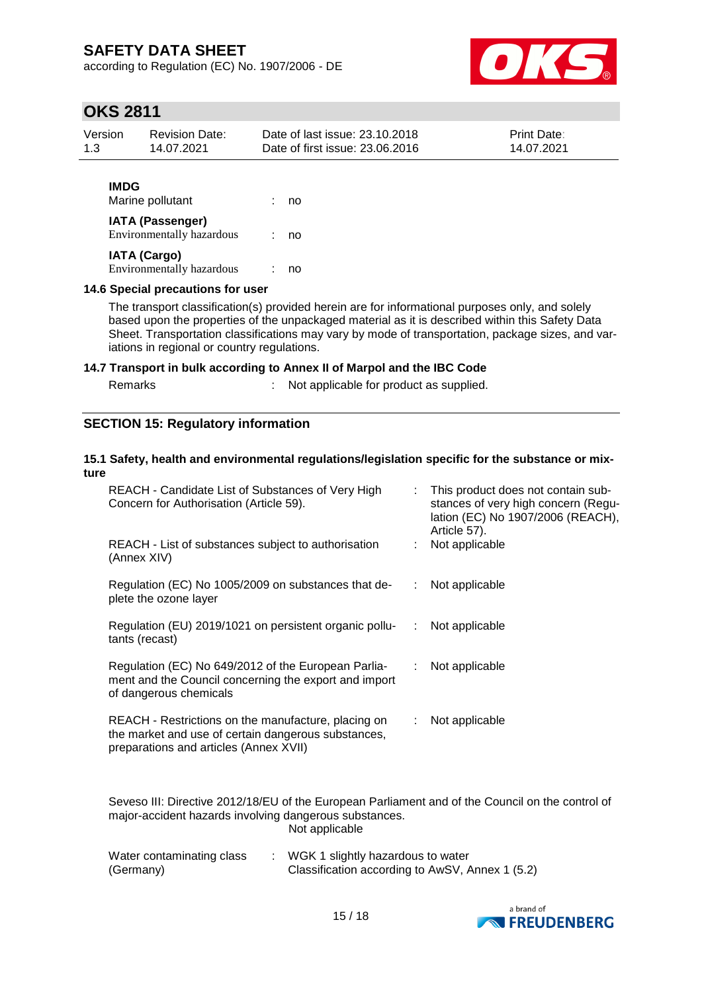according to Regulation (EC) No. 1907/2006 - DE



### **OKS 2811**

| Version     | <b>Revision Date:</b> | Date of last issue: 23.10.2018  | <b>Print Date:</b> |  |  |
|-------------|-----------------------|---------------------------------|--------------------|--|--|
| 1.3         | 14.07.2021            | Date of first issue: 23.06.2016 | 14.07.2021         |  |  |
| <b>IMDG</b> |                       |                                 |                    |  |  |

| Marine pollutant                                     | no |
|------------------------------------------------------|----|
| <b>IATA (Passenger)</b><br>Environmentally hazardous | no |
| <b>IATA (Cargo)</b>                                  |    |
| <b>Environmentally hazardous</b>                     | no |

#### **14.6 Special precautions for user**

The transport classification(s) provided herein are for informational purposes only, and solely based upon the properties of the unpackaged material as it is described within this Safety Data Sheet. Transportation classifications may vary by mode of transportation, package sizes, and variations in regional or country regulations.

#### **14.7 Transport in bulk according to Annex II of Marpol and the IBC Code**

| Remarks | Not applicable for product as supplied. |
|---------|-----------------------------------------|
|---------|-----------------------------------------|

#### **SECTION 15: Regulatory information**

#### **15.1 Safety, health and environmental regulations/legislation specific for the substance or mixture**

| REACH - Candidate List of Substances of Very High<br>Concern for Authorisation (Article 59).                                                         | ÷. | This product does not contain sub-<br>stances of very high concern (Regu-<br>lation (EC) No 1907/2006 (REACH),<br>Article 57). |
|------------------------------------------------------------------------------------------------------------------------------------------------------|----|--------------------------------------------------------------------------------------------------------------------------------|
| REACH - List of substances subject to authorisation<br>(Annex XIV)                                                                                   |    | : Not applicable                                                                                                               |
| Regulation (EC) No 1005/2009 on substances that de-<br>plete the ozone layer                                                                         | t. | Not applicable                                                                                                                 |
| Regulation (EU) 2019/1021 on persistent organic pollu-<br>tants (recast)                                                                             |    | : Not applicable                                                                                                               |
| Regulation (EC) No 649/2012 of the European Parlia-<br>ment and the Council concerning the export and import<br>of dangerous chemicals               |    | Not applicable                                                                                                                 |
| REACH - Restrictions on the manufacture, placing on<br>the market and use of certain dangerous substances,<br>preparations and articles (Annex XVII) |    | Not applicable                                                                                                                 |

Seveso III: Directive 2012/18/EU of the European Parliament and of the Council on the control of major-accident hazards involving dangerous substances. Not applicable

| Water contaminating class | WGK 1 slightly hazardous to water               |
|---------------------------|-------------------------------------------------|
| (Germany)                 | Classification according to AwSV, Annex 1 (5.2) |

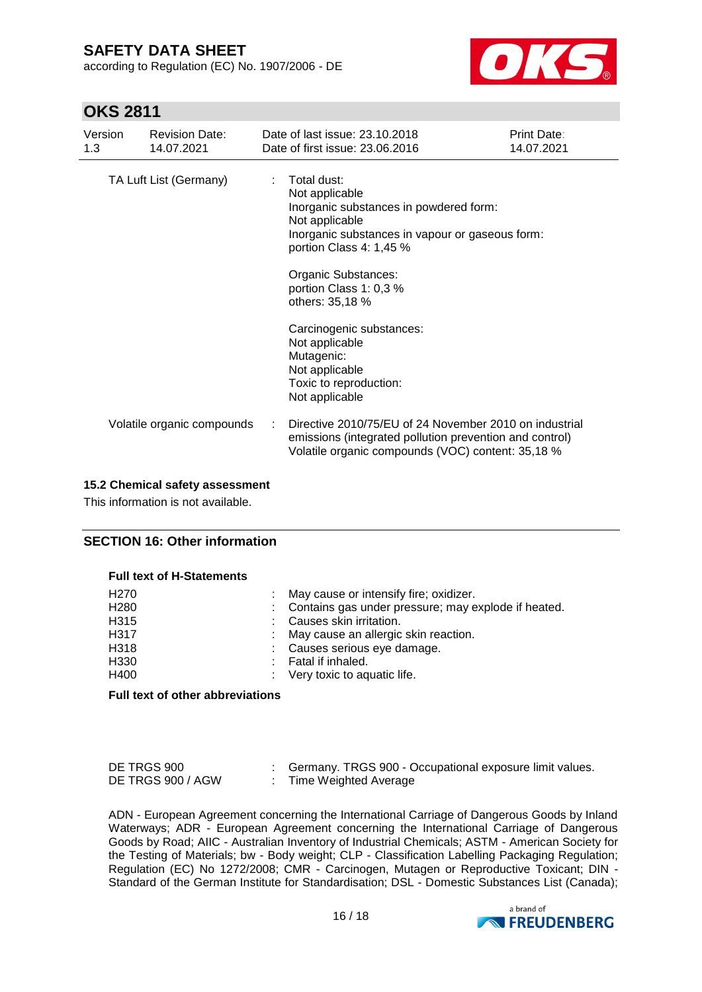according to Regulation (EC) No. 1907/2006 - DE



### **OKS 2811**

| Version<br>1.3         |  | <b>Revision Date:</b><br>14.07.2021                                                                                                                                                                                                                                                                                       | Date of last issue: 23.10.2018<br>Date of first issue: 23.06.2016                                                                                                      | <b>Print Date:</b><br>14.07.2021 |
|------------------------|--|---------------------------------------------------------------------------------------------------------------------------------------------------------------------------------------------------------------------------------------------------------------------------------------------------------------------------|------------------------------------------------------------------------------------------------------------------------------------------------------------------------|----------------------------------|
| TA Luft List (Germany) |  | Total dust:<br>Not applicable<br>Inorganic substances in powdered form:<br>Not applicable<br>Inorganic substances in vapour or gaseous form:<br>portion Class 4: 1,45 %<br>Organic Substances:<br>portion Class 1: 0,3 %<br>others: 35,18 %<br>Carcinogenic substances:<br>Not applicable<br>Mutagenic:<br>Not applicable |                                                                                                                                                                        |                                  |
|                        |  |                                                                                                                                                                                                                                                                                                                           | Toxic to reproduction:<br>Not applicable                                                                                                                               |                                  |
|                        |  | Volatile organic compounds                                                                                                                                                                                                                                                                                                | Directive 2010/75/EU of 24 November 2010 on industrial<br>emissions (integrated pollution prevention and control)<br>Volatile organic compounds (VOC) content: 35,18 % |                                  |

#### **15.2 Chemical safety assessment**

This information is not available.

#### **SECTION 16: Other information**

| H <sub>270</sub> | : May cause or intensify fire; oxidizer.              |
|------------------|-------------------------------------------------------|
| H <sub>280</sub> | : Contains gas under pressure; may explode if heated. |
| H315             | Causes skin irritation.                               |
| H317             | May cause an allergic skin reaction.                  |
| H318             | : Causes serious eye damage.                          |
| H330             | Fatal if inhaled.                                     |
| H400             | : Very toxic to aquatic life.                         |
|                  |                                                       |

#### **Full text of other abbreviations**

| DE TRGS 900       | Germany. TRGS 900 - Occupational exposure limit values. |
|-------------------|---------------------------------------------------------|
| DE TRGS 900 / AGW | Time Weighted Average                                   |

ADN - European Agreement concerning the International Carriage of Dangerous Goods by Inland Waterways; ADR - European Agreement concerning the International Carriage of Dangerous Goods by Road; AIIC - Australian Inventory of Industrial Chemicals; ASTM - American Society for the Testing of Materials; bw - Body weight; CLP - Classification Labelling Packaging Regulation; Regulation (EC) No 1272/2008; CMR - Carcinogen, Mutagen or Reproductive Toxicant; DIN - Standard of the German Institute for Standardisation; DSL - Domestic Substances List (Canada);

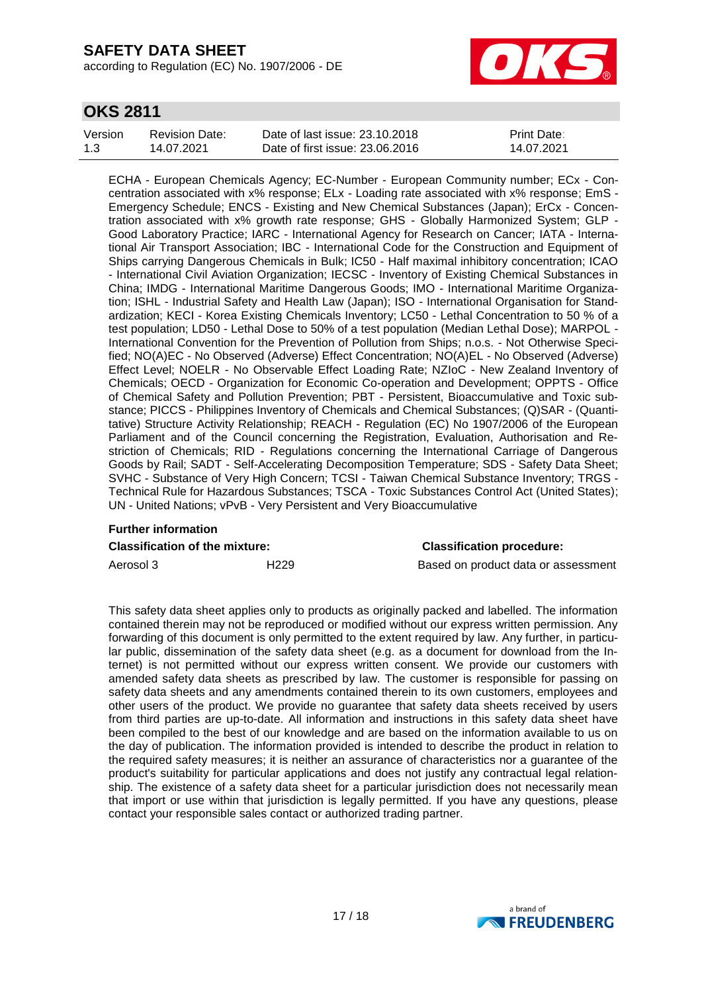according to Regulation (EC) No. 1907/2006 - DE



### **OKS 2811**

| Version | <b>Revision Date:</b> | Date of last issue: 23.10.2018  | <b>Print Date:</b> |
|---------|-----------------------|---------------------------------|--------------------|
| 1.3     | 14.07.2021            | Date of first issue: 23,06,2016 | 14.07.2021         |

ECHA - European Chemicals Agency; EC-Number - European Community number; ECx - Concentration associated with x% response; ELx - Loading rate associated with x% response; EmS - Emergency Schedule; ENCS - Existing and New Chemical Substances (Japan); ErCx - Concentration associated with x% growth rate response; GHS - Globally Harmonized System; GLP - Good Laboratory Practice; IARC - International Agency for Research on Cancer; IATA - International Air Transport Association; IBC - International Code for the Construction and Equipment of Ships carrying Dangerous Chemicals in Bulk; IC50 - Half maximal inhibitory concentration; ICAO - International Civil Aviation Organization; IECSC - Inventory of Existing Chemical Substances in China; IMDG - International Maritime Dangerous Goods; IMO - International Maritime Organization; ISHL - Industrial Safety and Health Law (Japan); ISO - International Organisation for Standardization; KECI - Korea Existing Chemicals Inventory; LC50 - Lethal Concentration to 50 % of a test population; LD50 - Lethal Dose to 50% of a test population (Median Lethal Dose); MARPOL - International Convention for the Prevention of Pollution from Ships; n.o.s. - Not Otherwise Specified; NO(A)EC - No Observed (Adverse) Effect Concentration; NO(A)EL - No Observed (Adverse) Effect Level; NOELR - No Observable Effect Loading Rate; NZIoC - New Zealand Inventory of Chemicals; OECD - Organization for Economic Co-operation and Development; OPPTS - Office of Chemical Safety and Pollution Prevention; PBT - Persistent, Bioaccumulative and Toxic substance; PICCS - Philippines Inventory of Chemicals and Chemical Substances; (Q)SAR - (Quantitative) Structure Activity Relationship; REACH - Regulation (EC) No 1907/2006 of the European Parliament and of the Council concerning the Registration, Evaluation, Authorisation and Restriction of Chemicals; RID - Regulations concerning the International Carriage of Dangerous Goods by Rail; SADT - Self-Accelerating Decomposition Temperature; SDS - Safety Data Sheet; SVHC - Substance of Very High Concern; TCSI - Taiwan Chemical Substance Inventory; TRGS - Technical Rule for Hazardous Substances; TSCA - Toxic Substances Control Act (United States); UN - United Nations; vPvB - Very Persistent and Very Bioaccumulative

# **Further information Classification of the mixture: Classification procedure:**

Aerosol 3 **H229** H229 Based on product data or assessment

This safety data sheet applies only to products as originally packed and labelled. The information contained therein may not be reproduced or modified without our express written permission. Any forwarding of this document is only permitted to the extent required by law. Any further, in particular public, dissemination of the safety data sheet (e.g. as a document for download from the Internet) is not permitted without our express written consent. We provide our customers with amended safety data sheets as prescribed by law. The customer is responsible for passing on safety data sheets and any amendments contained therein to its own customers, employees and other users of the product. We provide no guarantee that safety data sheets received by users from third parties are up-to-date. All information and instructions in this safety data sheet have been compiled to the best of our knowledge and are based on the information available to us on the day of publication. The information provided is intended to describe the product in relation to the required safety measures; it is neither an assurance of characteristics nor a guarantee of the product's suitability for particular applications and does not justify any contractual legal relationship. The existence of a safety data sheet for a particular jurisdiction does not necessarily mean that import or use within that jurisdiction is legally permitted. If you have any questions, please contact your responsible sales contact or authorized trading partner.